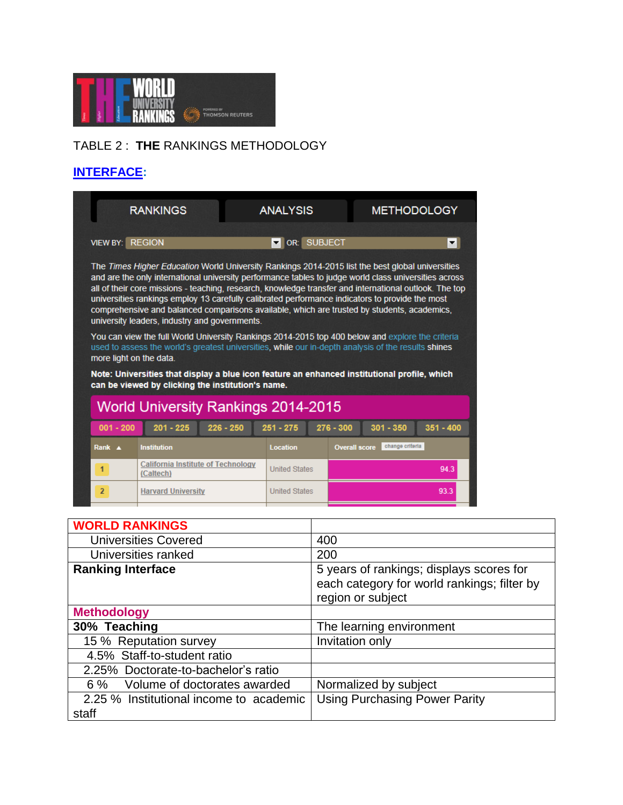

## TABLE 2 : **THE** RANKINGS METHODOLOGY

## **[INTERFACE:](http://www.timeshighereducation.co.uk/world-university-rankings/2014-15/world-ranking/methodology)**

| $001 - 200$                                                                                                                                                                                                                                                                                                                                                                                                                                                                                                                                                            | <b>World University Rankings 2014-2015</b><br>$201 - 225$ | $226 - 250$ | $251 - 275$                  | $276 - 300$<br>$301 - 350$ | $351 - 400$        |  |
|------------------------------------------------------------------------------------------------------------------------------------------------------------------------------------------------------------------------------------------------------------------------------------------------------------------------------------------------------------------------------------------------------------------------------------------------------------------------------------------------------------------------------------------------------------------------|-----------------------------------------------------------|-------------|------------------------------|----------------------------|--------------------|--|
|                                                                                                                                                                                                                                                                                                                                                                                                                                                                                                                                                                        |                                                           |             |                              |                            |                    |  |
| You can view the full World University Rankings 2014-2015 top 400 below and explore the criteria<br>used to assess the world's greatest universities, while our in-depth analysis of the results shines<br>more light on the data.<br>Note: Universities that display a blue icon feature an enhanced institutional profile, which<br>can be viewed by clicking the institution's name.                                                                                                                                                                                |                                                           |             |                              |                            |                    |  |
| The Times Higher Education World University Rankings 2014-2015 list the best global universities<br>and are the only international university performance tables to judge world class universities across<br>all of their core missions - teaching, research, knowledge transfer and international outlook. The top<br>universities rankings employ 13 carefully calibrated performance indicators to provide the most<br>comprehensive and balanced comparisons available, which are trusted by students, academics,<br>university leaders, industry and governments. |                                                           |             |                              |                            |                    |  |
| <b>VIEW BY:</b>                                                                                                                                                                                                                                                                                                                                                                                                                                                                                                                                                        | <b>REGION</b>                                             |             | <b>SUBJECT</b><br>l or:<br>▼ |                            | ▾                  |  |
|                                                                                                                                                                                                                                                                                                                                                                                                                                                                                                                                                                        | <b>RANKINGS</b>                                           |             | <b>ANALYSIS</b>              |                            | <b>METHODOLOGY</b> |  |

| <b>WORLD RANKINGS</b>                            |                                                                                                              |  |
|--------------------------------------------------|--------------------------------------------------------------------------------------------------------------|--|
| <b>Universities Covered</b>                      | 400                                                                                                          |  |
| Universities ranked                              | 200                                                                                                          |  |
| <b>Ranking Interface</b>                         | 5 years of rankings; displays scores for<br>each category for world rankings; filter by<br>region or subject |  |
| <b>Methodology</b>                               |                                                                                                              |  |
| 30% Teaching                                     | The learning environment                                                                                     |  |
| 15 % Reputation survey                           | Invitation only                                                                                              |  |
| 4.5% Staff-to-student ratio                      |                                                                                                              |  |
| 2.25% Doctorate-to-bachelor's ratio              |                                                                                                              |  |
| 6 % Volume of doctorates awarded                 | Normalized by subject                                                                                        |  |
| 2.25 % Institutional income to academic<br>staff | <b>Using Purchasing Power Parity</b>                                                                         |  |